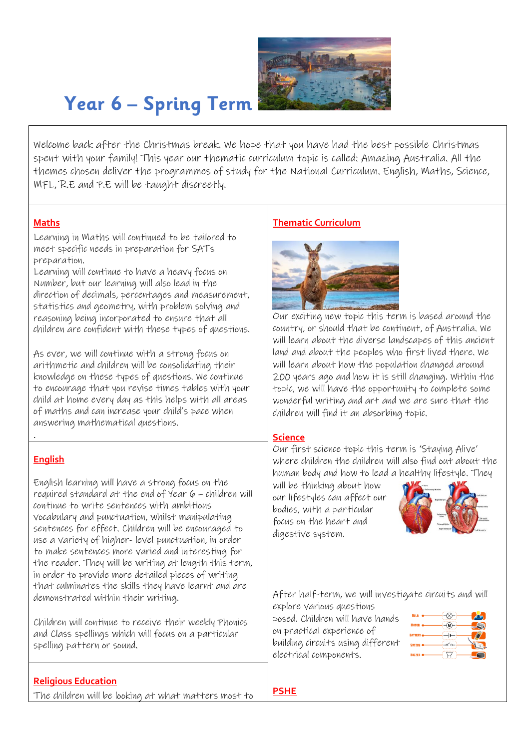

# **Year 6 – Spring Term**

 Welcome back after the Christmas break. We hope that you have had the best possible Christmas spent with your family! This year our thematic curriculum topic is called: Amazing Australia. All the themes chosen deliver the programmes of study for the National Curriculum. English, Maths, Science, MFL, R.E and P.E will be taught discreetly.

#### **Maths**

Learning in Maths will continued to be tailored to meet specific needs in preparation for SATs preparation.

Learning will continue to have a heavy focus on Number, but our learning will also lead in the direction of decimals, percentages and measurement, statistics and geometry, with problem solving and reasoning being incorporated to ensure that all children are confident with these types of questions.

As ever, we will continue with a strong focus on arithmetic and children will be consolidating their knowledge on these types of questions. We continue to encourage that you revise times tables with your child at home every day as this helps with all areas of maths and can increase your child's pace when answering mathematical questions.

### **English**

.

English learning will have a strong focus on the required standard at the end of Year 6 – children will continue to write sentences with ambitious vocabulary and punctuation, whilst manipulating sentences for effect. Children will be encouraged to use a variety of higher- level punctuation, in order to make sentences more varied and interesting for the reader. They will be writing at length this term, in order to provide more detailed pieces of writing that culminates the skills they have learnt and are demonstrated within their writing.

Children will continue to receive their weekly Phonics and Class spellings which will focus on a particular spelling pattern or sound.

### **Religious Education**

The children will be looking at what matters most to

## **Thematic Curriculum**



Our exciting new topic this term is based around the country, or should that be continent, of Australia. We will learn about the diverse landscapes of this ancient land and about the peoples who first lived there. We will learn about how the population changed around 200 years ago and how it is still changing. Within the topic, we will have the opportunity to complete some wonderful writing and art and we are sure that the children will find it an absorbing topic.

### **Science**

Our first science topic this term is 'Staying Alive' where children the children will also find out about the human body and how to lead a healthy lifestyle. They

will be thinking about how our lifestyles can affect our bodies, with a particular focus on the heart and digestive system.



After half-term, we will investigate circuits and will

explore various questions posed. Children will have hands on practical experience of building circuits using different electrical components.

| <b>BULB</b>  | -----         |  |
|--------------|---------------|--|
|              | ------        |  |
| <b>AOTOR</b> | .             |  |
| ATTERY       |               |  |
| WITCH        | <u>.</u><br>. |  |
| <b>U27E</b>  | ----          |  |

**PSHE**